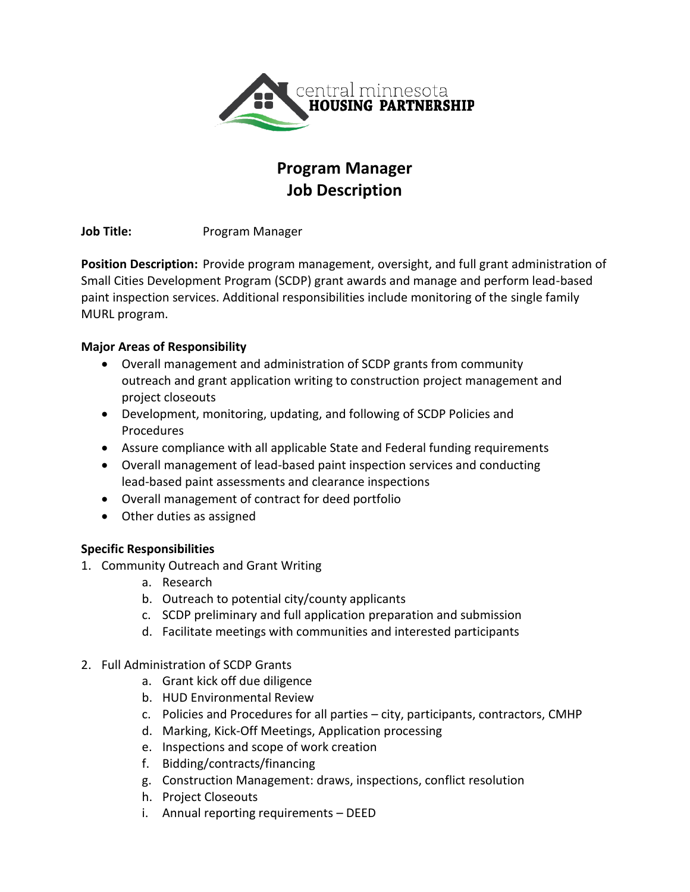

# **Program Manager Job Description**

**Job Title:** Program Manager

**Position Description:** Provide program management, oversight, and full grant administration of Small Cities Development Program (SCDP) grant awards and manage and perform lead-based paint inspection services. Additional responsibilities include monitoring of the single family MURL program.

## **Major Areas of Responsibility**

- Overall management and administration of SCDP grants from community outreach and grant application writing to construction project management and project closeouts
- Development, monitoring, updating, and following of SCDP Policies and Procedures
- Assure compliance with all applicable State and Federal funding requirements
- Overall management of lead-based paint inspection services and conducting lead-based paint assessments and clearance inspections
- Overall management of contract for deed portfolio
- Other duties as assigned

## **Specific Responsibilities**

- 1. Community Outreach and Grant Writing
	- a. Research
	- b. Outreach to potential city/county applicants
	- c. SCDP preliminary and full application preparation and submission
	- d. Facilitate meetings with communities and interested participants
- 2. Full Administration of SCDP Grants
	- a. Grant kick off due diligence
	- b. HUD Environmental Review
	- c. Policies and Procedures for all parties city, participants, contractors, CMHP
	- d. Marking, Kick-Off Meetings, Application processing
	- e. Inspections and scope of work creation
	- f. Bidding/contracts/financing
	- g. Construction Management: draws, inspections, conflict resolution
	- h. Project Closeouts
	- i. Annual reporting requirements DEED